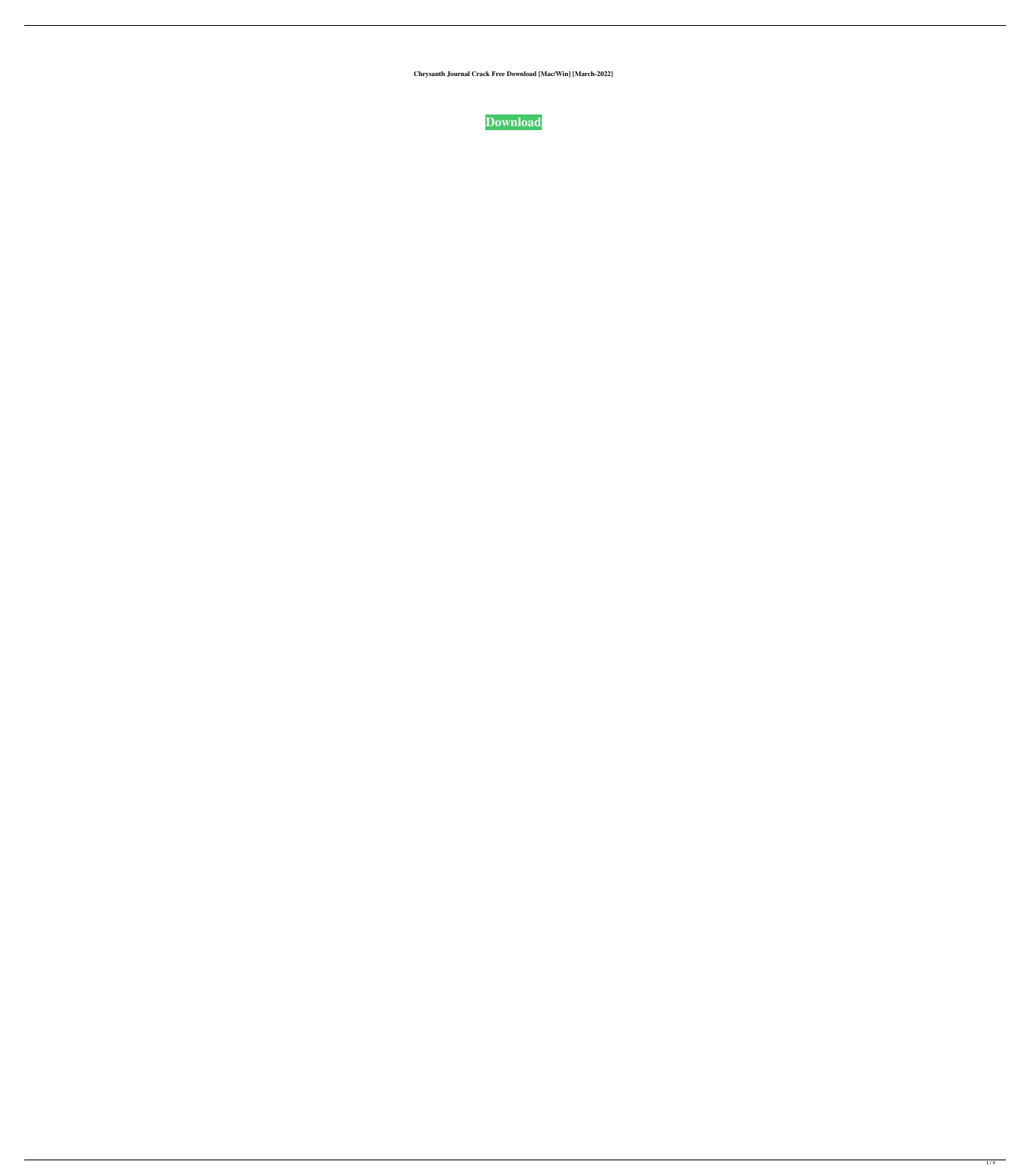**Chrysanth Journal Crack Free Download [Mac/Win] [March-2022]**



 $1/6$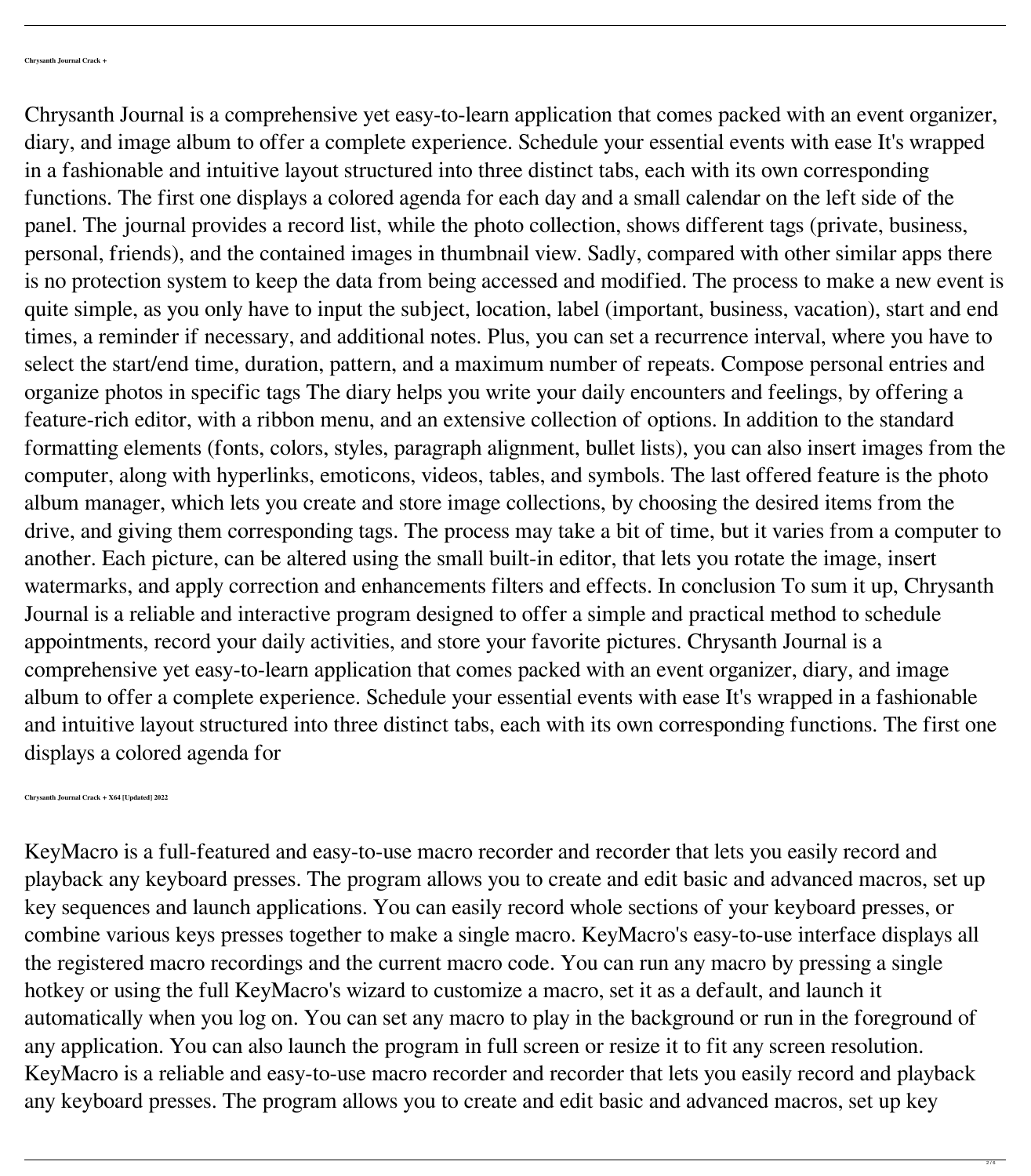Chrysanth Journal is a comprehensive yet easy-to-learn application that comes packed with an event organizer, diary, and image album to offer a complete experience. Schedule your essential events with ease It's wrapped in a fashionable and intuitive layout structured into three distinct tabs, each with its own corresponding functions. The first one displays a colored agenda for each day and a small calendar on the left side of the panel. The journal provides a record list, while the photo collection, shows different tags (private, business, personal, friends), and the contained images in thumbnail view. Sadly, compared with other similar apps there is no protection system to keep the data from being accessed and modified. The process to make a new event is quite simple, as you only have to input the subject, location, label (important, business, vacation), start and end times, a reminder if necessary, and additional notes. Plus, you can set a recurrence interval, where you have to select the start/end time, duration, pattern, and a maximum number of repeats. Compose personal entries and organize photos in specific tags The diary helps you write your daily encounters and feelings, by offering a feature-rich editor, with a ribbon menu, and an extensive collection of options. In addition to the standard formatting elements (fonts, colors, styles, paragraph alignment, bullet lists), you can also insert images from the computer, along with hyperlinks, emoticons, videos, tables, and symbols. The last offered feature is the photo album manager, which lets you create and store image collections, by choosing the desired items from the drive, and giving them corresponding tags. The process may take a bit of time, but it varies from a computer to another. Each picture, can be altered using the small built-in editor, that lets you rotate the image, insert watermarks, and apply correction and enhancements filters and effects. In conclusion To sum it up, Chrysanth Journal is a reliable and interactive program designed to offer a simple and practical method to schedule appointments, record your daily activities, and store your favorite pictures. Chrysanth Journal is a comprehensive yet easy-to-learn application that comes packed with an event organizer, diary, and image album to offer a complete experience. Schedule your essential events with ease It's wrapped in a fashionable and intuitive layout structured into three distinct tabs, each with its own corresponding functions. The first one displays a colored agenda for

**Chrysanth Journal Crack + X64 [Updated] 2022**

KeyMacro is a full-featured and easy-to-use macro recorder and recorder that lets you easily record and playback any keyboard presses. The program allows you to create and edit basic and advanced macros, set up key sequences and launch applications. You can easily record whole sections of your keyboard presses, or combine various keys presses together to make a single macro. KeyMacro's easy-to-use interface displays all the registered macro recordings and the current macro code. You can run any macro by pressing a single hotkey or using the full KeyMacro's wizard to customize a macro, set it as a default, and launch it automatically when you log on. You can set any macro to play in the background or run in the foreground of



KeyMacro is a reliable and easy-to-use macro recorder and recorder that lets you easily record and playback

any keyboard presses. The program allows you to create and edit basic and advanced macros, set up key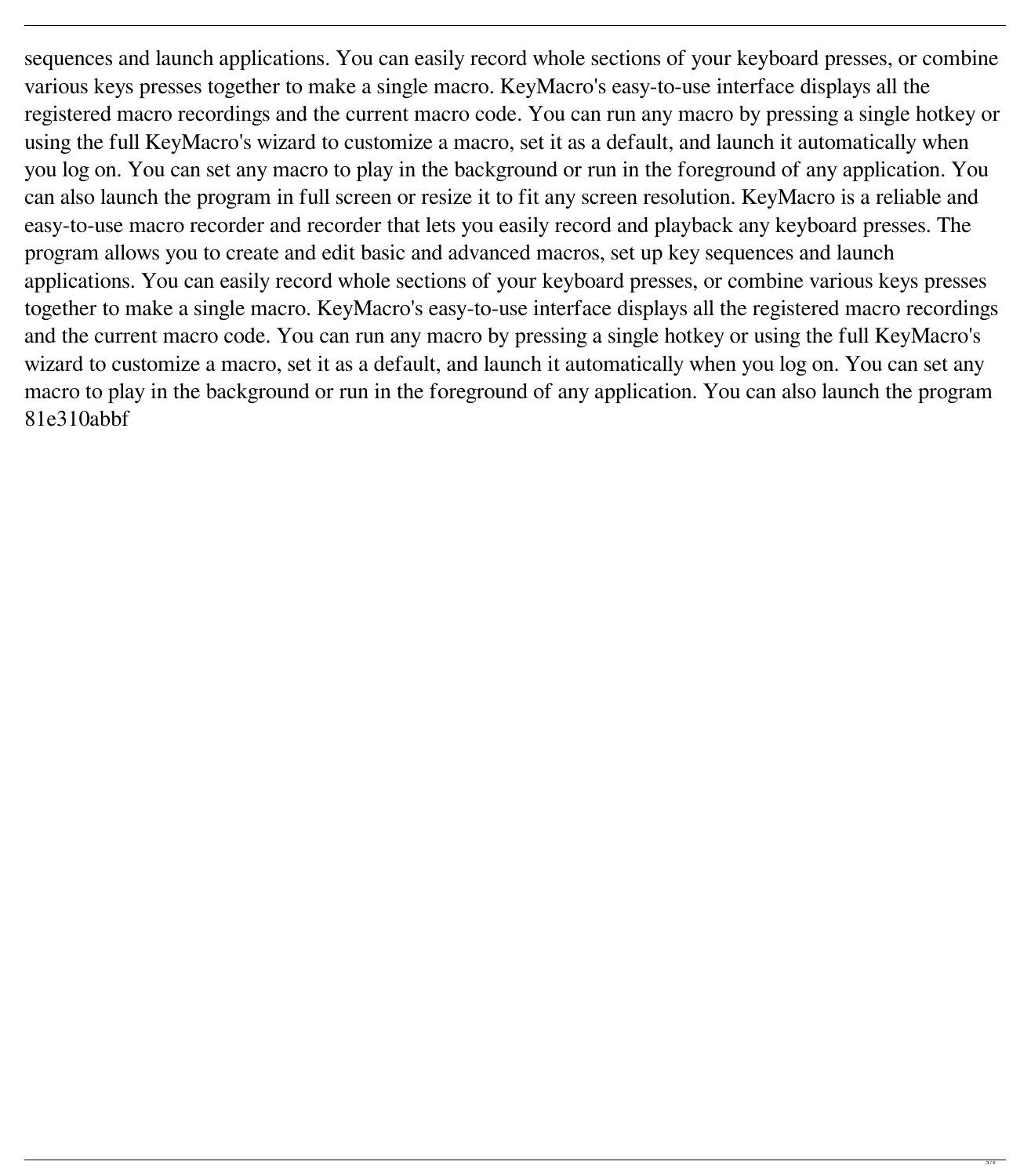sequences and launch applications. You can easily record whole sections of your keyboard presses, or combine various keys presses together to make a single macro. KeyMacro's easy-to-use interface displays all the registered macro recordings and the current macro code. You can run any macro by pressing a single hotkey or using the full KeyMacro's wizard to customize a macro, set it as a default, and launch it automatically when you log on. You can set any macro to play in the background or run in the foreground of any application. You can also launch the program in full screen or resize it to fit any screen resolution. KeyMacro is a reliable and easy-to-use macro recorder and recorder that lets you easily record and playback any keyboard presses. The program allows you to create and edit basic and advanced macros, set up key sequences and launch applications. You can easily record whole sections of your keyboard presses, or combine various keys presses together to make a single macro. KeyMacro's easy-to-use interface displays all the registered macro recordings and the current macro code. You can run any macro by pressing a single hotkey or using the full KeyMacro's wizard to customize a macro, set it as a default, and launch it automatically when you log on. You can set any macro to play in the background or run in the foreground of any application. You can also launch the program 81e310abbf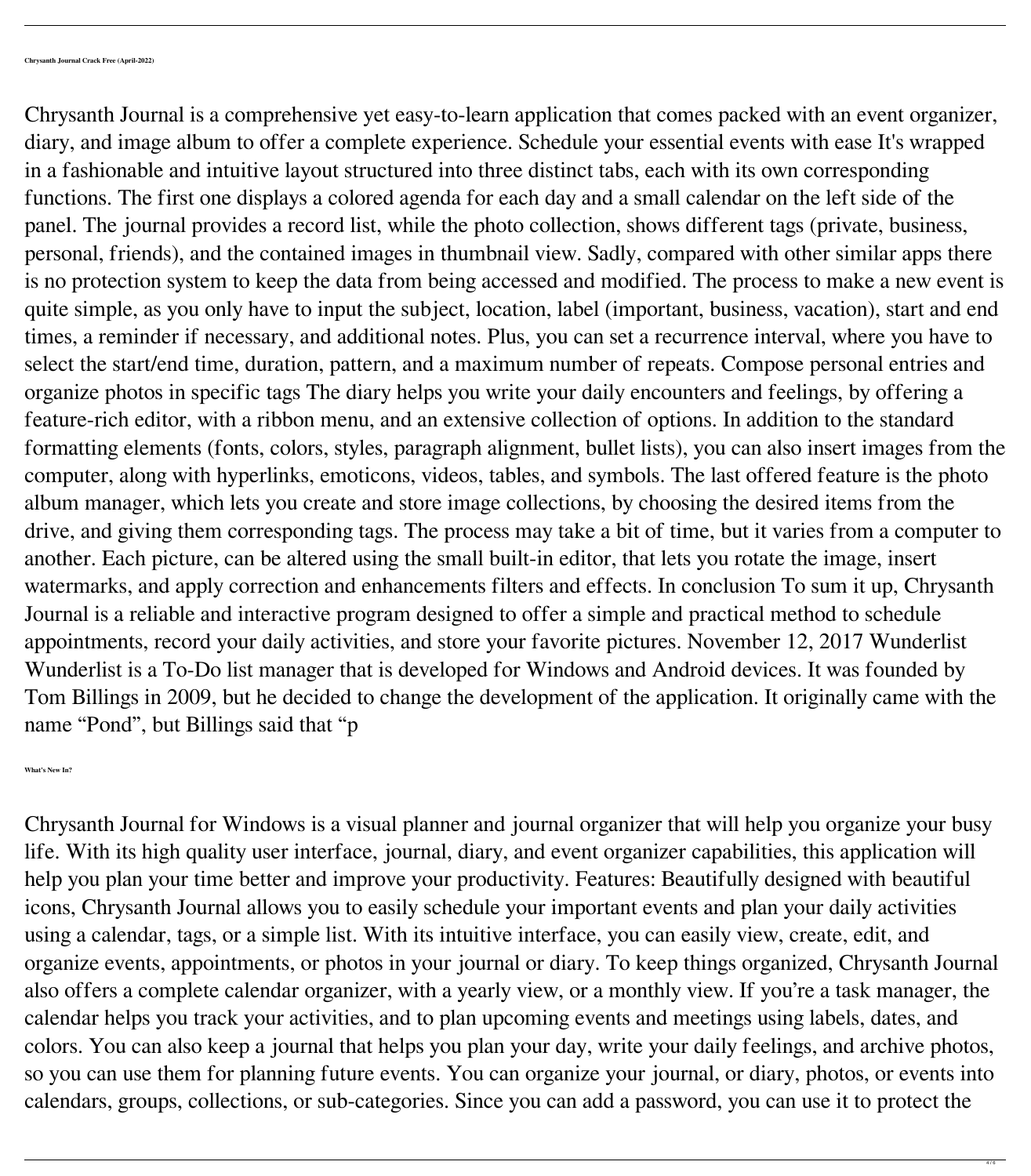Chrysanth Journal is a comprehensive yet easy-to-learn application that comes packed with an event organizer, diary, and image album to offer a complete experience. Schedule your essential events with ease It's wrapped in a fashionable and intuitive layout structured into three distinct tabs, each with its own corresponding functions. The first one displays a colored agenda for each day and a small calendar on the left side of the panel. The journal provides a record list, while the photo collection, shows different tags (private, business, personal, friends), and the contained images in thumbnail view. Sadly, compared with other similar apps there is no protection system to keep the data from being accessed and modified. The process to make a new event is quite simple, as you only have to input the subject, location, label (important, business, vacation), start and end times, a reminder if necessary, and additional notes. Plus, you can set a recurrence interval, where you have to select the start/end time, duration, pattern, and a maximum number of repeats. Compose personal entries and organize photos in specific tags The diary helps you write your daily encounters and feelings, by offering a feature-rich editor, with a ribbon menu, and an extensive collection of options. In addition to the standard formatting elements (fonts, colors, styles, paragraph alignment, bullet lists), you can also insert images from the computer, along with hyperlinks, emoticons, videos, tables, and symbols. The last offered feature is the photo album manager, which lets you create and store image collections, by choosing the desired items from the drive, and giving them corresponding tags. The process may take a bit of time, but it varies from a computer to another. Each picture, can be altered using the small built-in editor, that lets you rotate the image, insert watermarks, and apply correction and enhancements filters and effects. In conclusion To sum it up, Chrysanth Journal is a reliable and interactive program designed to offer a simple and practical method to schedule appointments, record your daily activities, and store your favorite pictures. November 12, 2017 Wunderlist Wunderlist is a To-Do list manager that is developed for Windows and Android devices. It was founded by Tom Billings in 2009, but he decided to change the development of the application. It originally came with the name "Pond", but Billings said that "p

**What's New In?**

Chrysanth Journal for Windows is a visual planner and journal organizer that will help you organize your busy life. With its high quality user interface, journal, diary, and event organizer capabilities, this application will help you plan your time better and improve your productivity. Features: Beautifully designed with beautiful icons, Chrysanth Journal allows you to easily schedule your important events and plan your daily activities using a calendar, tags, or a simple list. With its intuitive interface, you can easily view, create, edit, and organize events, appointments, or photos in your journal or diary. To keep things organized, Chrysanth Journal also offers a complete calendar organizer, with a yearly view, or a monthly view. If you're a task manager, the calendar helps you track your activities, and to plan upcoming events and meetings using labels, dates, and

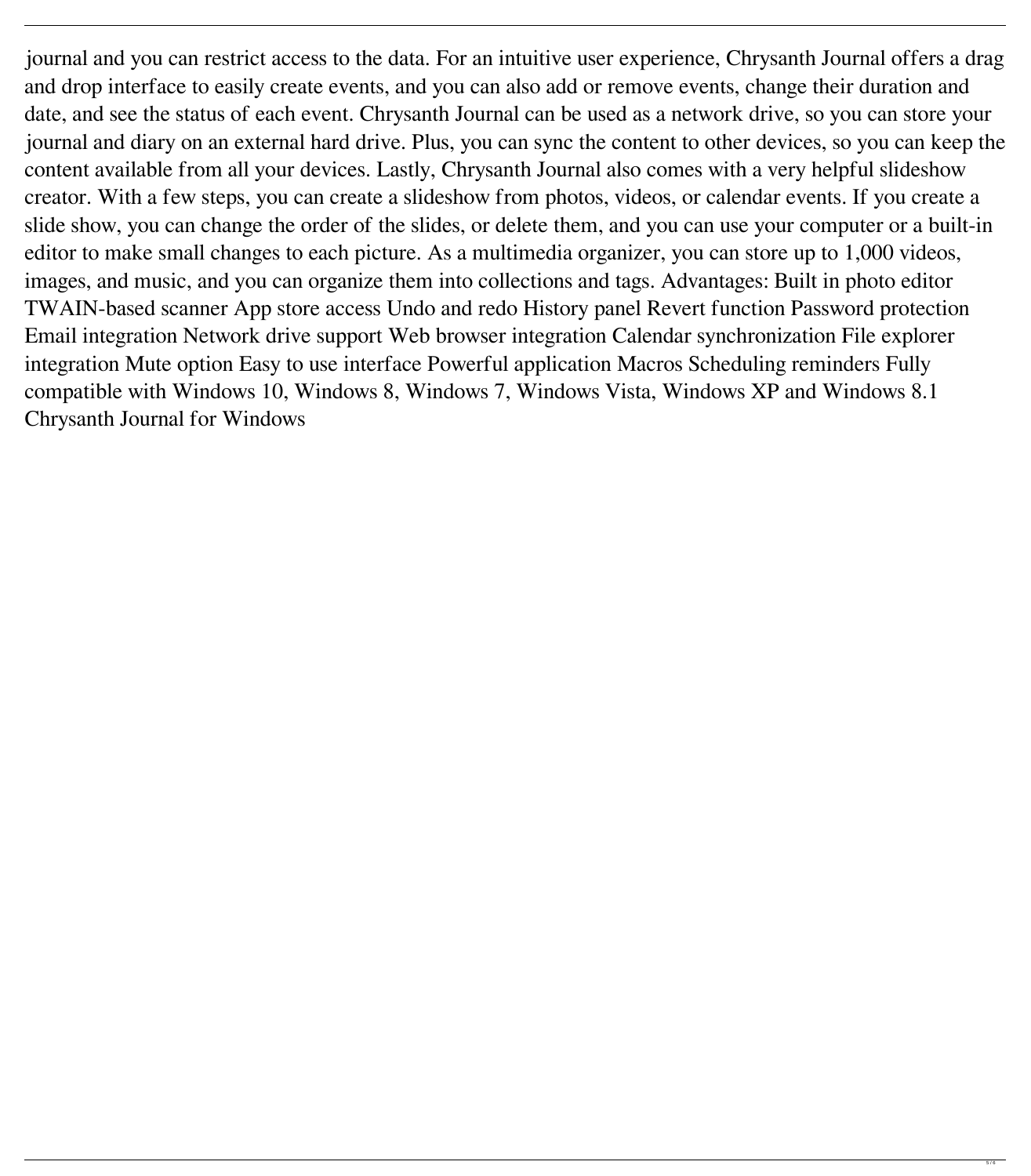journal and you can restrict access to the data. For an intuitive user experience, Chrysanth Journal offers a drag and drop interface to easily create events, and you can also add or remove events, change their duration and date, and see the status of each event. Chrysanth Journal can be used as a network drive, so you can store your journal and diary on an external hard drive. Plus, you can sync the content to other devices, so you can keep the content available from all your devices. Lastly, Chrysanth Journal also comes with a very helpful slideshow creator. With a few steps, you can create a slideshow from photos, videos, or calendar events. If you create a slide show, you can change the order of the slides, or delete them, and you can use your computer or a built-in editor to make small changes to each picture. As a multimedia organizer, you can store up to 1,000 videos, images, and music, and you can organize them into collections and tags. Advantages: Built in photo editor TWAIN-based scanner App store access Undo and redo History panel Revert function Password protection Email integration Network drive support Web browser integration Calendar synchronization File explorer integration Mute option Easy to use interface Powerful application Macros Scheduling reminders Fully compatible with Windows 10, Windows 8, Windows 7, Windows Vista, Windows XP and Windows 8.1 Chrysanth Journal for Windows